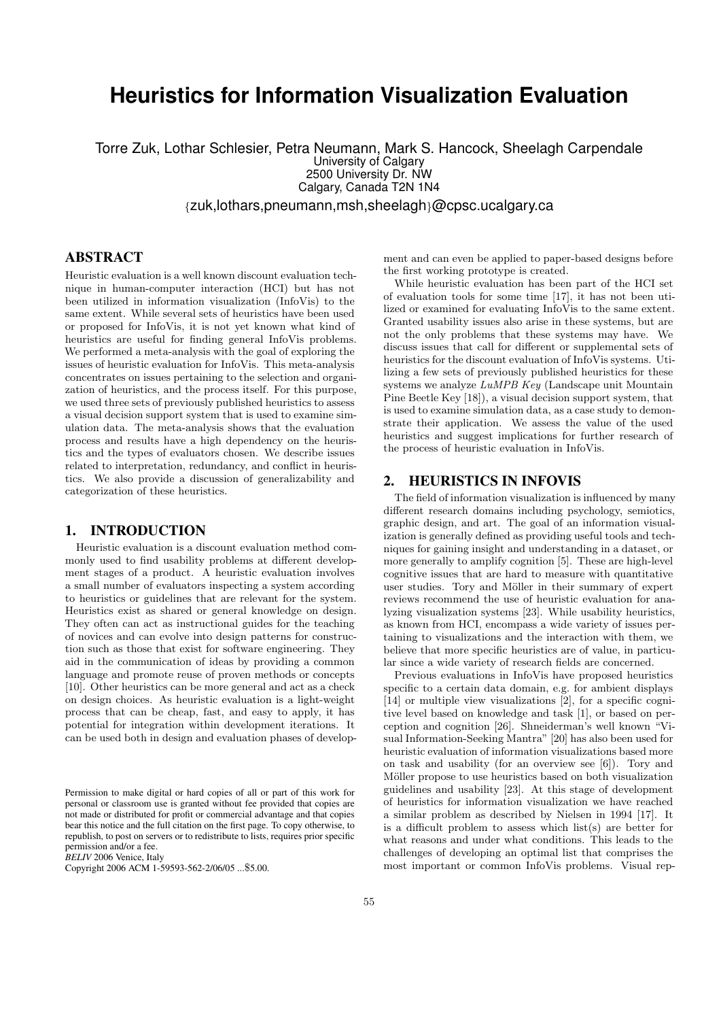# **Heuristics for Information Visualization Evaluation**

Torre Zuk, Lothar Schlesier, Petra Neumann, Mark S. Hancock, Sheelagh Carpendale University of Calgary 2500 University Dr. NW Calgary, Canada T2N 1N4 {zuk,lothars,pneumann,msh,sheelagh}@cpsc.ucalgary.ca

# ABSTRACT

Heuristic evaluation is a well known discount evaluation technique in human-computer interaction (HCI) but has not been utilized in information visualization (InfoVis) to the same extent. While several sets of heuristics have been used or proposed for InfoVis, it is not yet known what kind of heuristics are useful for finding general InfoVis problems. We performed a meta-analysis with the goal of exploring the issues of heuristic evaluation for InfoVis. This meta-analysis concentrates on issues pertaining to the selection and organization of heuristics, and the process itself. For this purpose, we used three sets of previously published heuristics to assess a visual decision support system that is used to examine simulation data. The meta-analysis shows that the evaluation process and results have a high dependency on the heuristics and the types of evaluators chosen. We describe issues related to interpretation, redundancy, and conflict in heuristics. We also provide a discussion of generalizability and categorization of these heuristics.

## 1. INTRODUCTION

Heuristic evaluation is a discount evaluation method commonly used to find usability problems at different development stages of a product. A heuristic evaluation involves a small number of evaluators inspecting a system according to heuristics or guidelines that are relevant for the system. Heuristics exist as shared or general knowledge on design. They often can act as instructional guides for the teaching of novices and can evolve into design patterns for construction such as those that exist for software engineering. They aid in the communication of ideas by providing a common language and promote reuse of proven methods or concepts [\[10\]](#page-5-0). Other heuristics can be more general and act as a check on design choices. As heuristic evaluation is a light-weight process that can be cheap, fast, and easy to apply, it has potential for integration within development iterations. It can be used both in design and evaluation phases of develop-

*BELIV* 2006 Venice, Italy

ment and can even be applied to paper-based designs before the first working prototype is created.

While heuristic evaluation has been part of the HCI set of evaluation tools for some time [\[17\]](#page-5-1), it has not been utilized or examined for evaluating InfoVis to the same extent. Granted usability issues also arise in these systems, but are not the only problems that these systems may have. We discuss issues that call for different or supplemental sets of heuristics for the discount evaluation of InfoVis systems. Utilizing a few sets of previously published heuristics for these systems we analyze LuMPB Key (Landscape unit Mountain Pine Beetle Key [\[18\]](#page-5-2)), a visual decision support system, that is used to examine simulation data, as a case study to demonstrate their application. We assess the value of the used heuristics and suggest implications for further research of the process of heuristic evaluation in InfoVis.

## 2. HEURISTICS IN INFOVIS

The field of information visualization is influenced by many different research domains including psychology, semiotics, graphic design, and art. The goal of an information visualization is generally defined as providing useful tools and techniques for gaining insight and understanding in a dataset, or more generally to amplify cognition [\[5\]](#page-5-3). These are high-level cognitive issues that are hard to measure with quantitative user studies. Tory and Möller in their summary of expert reviews recommend the use of heuristic evaluation for analyzing visualization systems [\[23\]](#page-5-4). While usability heuristics, as known from HCI, encompass a wide variety of issues pertaining to visualizations and the interaction with them, we believe that more specific heuristics are of value, in particular since a wide variety of research fields are concerned.

Previous evaluations in InfoVis have proposed heuristics specific to a certain data domain, e.g. for ambient displays [\[14\]](#page-5-5) or multiple view visualizations [\[2\]](#page-5-6), for a specific cognitive level based on knowledge and task [\[1\]](#page-5-7), or based on perception and cognition [\[26\]](#page-5-8). Shneiderman's well known "Visual Information-Seeking Mantra" [\[20\]](#page-5-9) has also been used for heuristic evaluation of information visualizations based more on task and usability (for an overview see [\[6\]](#page-5-10)). Tory and Möller propose to use heuristics based on both visualization guidelines and usability [\[23\]](#page-5-4). At this stage of development of heuristics for information visualization we have reached a similar problem as described by Nielsen in 1994 [\[17\]](#page-5-1). It is a difficult problem to assess which list(s) are better for what reasons and under what conditions. This leads to the challenges of developing an optimal list that comprises the most important or common InfoVis problems. Visual rep-

Permission to make digital or hard copies of all or part of this work for personal or classroom use is granted without fee provided that copies are not made or distributed for profit or commercial advantage and that copies bear this notice and the full citation on the first page. To copy otherwise, to republish, to post on servers or to redistribute to lists, requires prior specific permission and/or a fee.

Copyright 2006 ACM 1-59593-562-2/06/05 ...\$5.00.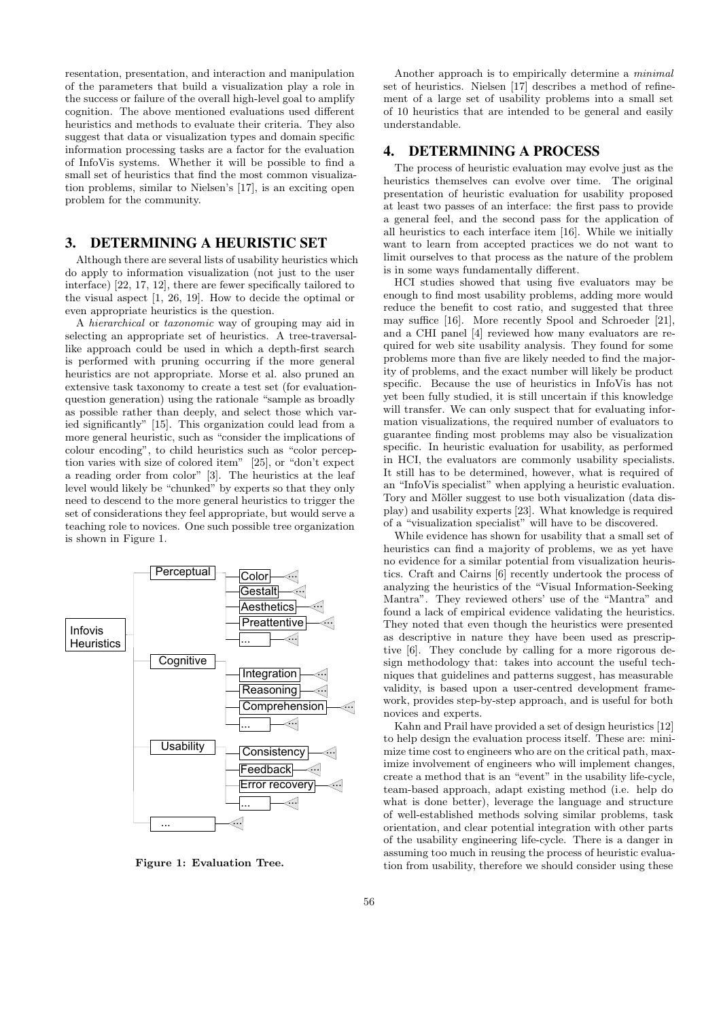resentation, presentation, and interaction and manipulation of the parameters that build a visualization play a role in the success or failure of the overall high-level goal to amplify cognition. The above mentioned evaluations used different heuristics and methods to evaluate their criteria. They also suggest that data or visualization types and domain specific information processing tasks are a factor for the evaluation of InfoVis systems. Whether it will be possible to find a small set of heuristics that find the most common visualization problems, similar to Nielsen's [\[17\]](#page-5-1), is an exciting open problem for the community.

## 3. DETERMINING A HEURISTIC SET

Although there are several lists of usability heuristics which do apply to information visualization (not just to the user interface) [\[22,](#page-5-11) [17,](#page-5-1) [12\]](#page-5-12), there are fewer specifically tailored to the visual aspect [\[1,](#page-5-7) [26,](#page-5-8) [19\]](#page-5-13). How to decide the optimal or even appropriate heuristics is the question.

A hierarchical or taxonomic way of grouping may aid in selecting an appropriate set of heuristics. A tree-traversallike approach could be used in which a depth-first search is performed with pruning occurring if the more general heuristics are not appropriate. Morse et al. also pruned an extensive task taxonomy to create a test set (for evaluationquestion generation) using the rationale "sample as broadly as possible rather than deeply, and select those which var-ied significantly" [\[15\]](#page-5-14). This organization could lead from a more general heuristic, such as "consider the implications of colour encoding", to child heuristics such as "color perception varies with size of colored item" [\[25\]](#page-5-15), or "don't expect a reading order from color" [\[3\]](#page-5-16). The heuristics at the leaf level would likely be "chunked" by experts so that they only need to descend to the more general heuristics to trigger the set of considerations they feel appropriate, but would serve a teaching role to novices. One such possible tree organization is shown in Figure [1.](#page-1-0)



<span id="page-1-0"></span>Figure 1: Evaluation Tree.

Another approach is to empirically determine a minimal set of heuristics. Nielsen [\[17\]](#page-5-1) describes a method of refinement of a large set of usability problems into a small set of 10 heuristics that are intended to be general and easily understandable.

## 4. DETERMINING A PROCESS

The process of heuristic evaluation may evolve just as the heuristics themselves can evolve over time. The original presentation of heuristic evaluation for usability proposed at least two passes of an interface: the first pass to provide a general feel, and the second pass for the application of all heuristics to each interface item [\[16\]](#page-5-17). While we initially want to learn from accepted practices we do not want to limit ourselves to that process as the nature of the problem is in some ways fundamentally different.

HCI studies showed that using five evaluators may be enough to find most usability problems, adding more would reduce the benefit to cost ratio, and suggested that three may suffice [\[16\]](#page-5-17). More recently Spool and Schroeder [\[21\]](#page-5-18), and a CHI panel [\[4\]](#page-5-19) reviewed how many evaluators are required for web site usability analysis. They found for some problems more than five are likely needed to find the majority of problems, and the exact number will likely be product specific. Because the use of heuristics in InfoVis has not yet been fully studied, it is still uncertain if this knowledge will transfer. We can only suspect that for evaluating information visualizations, the required number of evaluators to guarantee finding most problems may also be visualization specific. In heuristic evaluation for usability, as performed in HCI, the evaluators are commonly usability specialists. It still has to be determined, however, what is required of an "InfoVis specialist" when applying a heuristic evaluation. Tory and Möller suggest to use both visualization (data display) and usability experts [\[23\]](#page-5-4). What knowledge is required of a "visualization specialist" will have to be discovered.

While evidence has shown for usability that a small set of heuristics can find a majority of problems, we as yet have no evidence for a similar potential from visualization heuristics. Craft and Cairns [\[6\]](#page-5-10) recently undertook the process of analyzing the heuristics of the "Visual Information-Seeking Mantra". They reviewed others' use of the "Mantra" and found a lack of empirical evidence validating the heuristics. They noted that even though the heuristics were presented as descriptive in nature they have been used as prescriptive [\[6\]](#page-5-10). They conclude by calling for a more rigorous design methodology that: takes into account the useful techniques that guidelines and patterns suggest, has measurable validity, is based upon a user-centred development framework, provides step-by-step approach, and is useful for both novices and experts.

Kahn and Prail have provided a set of design heuristics [\[12\]](#page-5-12) to help design the evaluation process itself. These are: minimize time cost to engineers who are on the critical path, maximize involvement of engineers who will implement changes, create a method that is an "event" in the usability life-cycle, team-based approach, adapt existing method (i.e. help do what is done better), leverage the language and structure of well-established methods solving similar problems, task orientation, and clear potential integration with other parts of the usability engineering life-cycle. There is a danger in assuming too much in reusing the process of heuristic evaluation from usability, therefore we should consider using these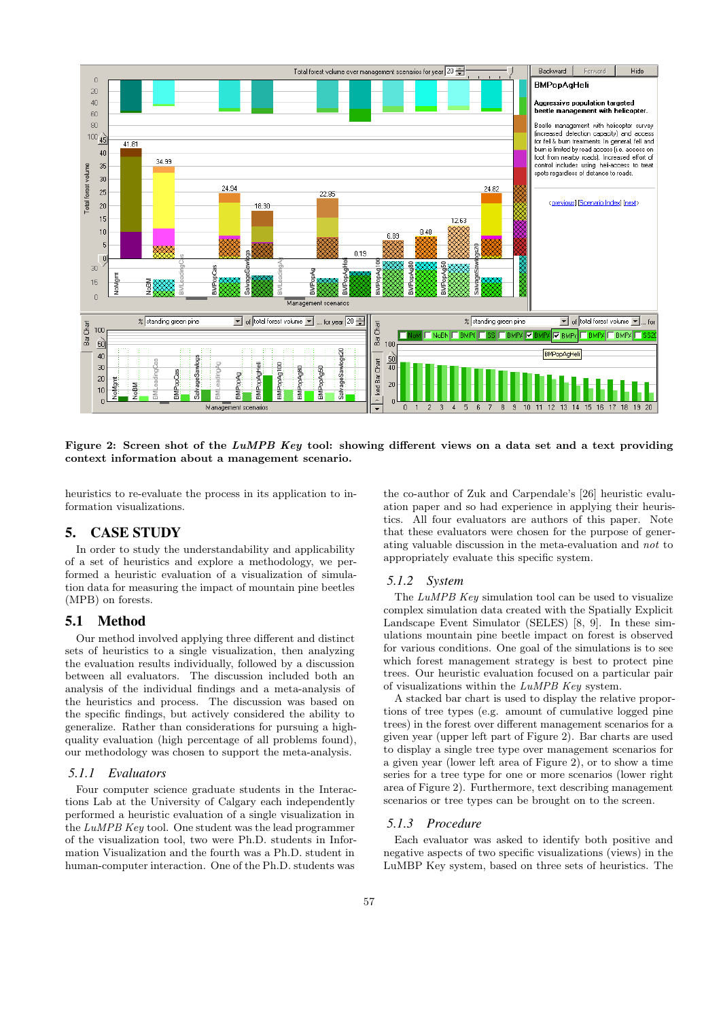

<span id="page-2-0"></span>Figure 2: Screen shot of the LuMPB Key tool: showing different views on a data set and a text providing context information about a management scenario.

heuristics to re-evaluate the process in its application to information visualizations.

# 5. CASE STUDY

In order to study the understandability and applicability of a set of heuristics and explore a methodology, we performed a heuristic evaluation of a visualization of simulation data for measuring the impact of mountain pine beetles (MPB) on forests.

## 5.1 Method

Our method involved applying three different and distinct sets of heuristics to a single visualization, then analyzing the evaluation results individually, followed by a discussion between all evaluators. The discussion included both an analysis of the individual findings and a meta-analysis of the heuristics and process. The discussion was based on the specific findings, but actively considered the ability to generalize. Rather than considerations for pursuing a highquality evaluation (high percentage of all problems found), our methodology was chosen to support the meta-analysis.

#### *5.1.1 Evaluators*

Four computer science graduate students in the Interactions Lab at the University of Calgary each independently performed a heuristic evaluation of a single visualization in the LuMPB Key tool. One student was the lead programmer of the visualization tool, two were Ph.D. students in Information Visualization and the fourth was a Ph.D. student in human-computer interaction. One of the Ph.D. students was the co-author of Zuk and Carpendale's [\[26\]](#page-5-8) heuristic evaluation paper and so had experience in applying their heuristics. All four evaluators are authors of this paper. Note that these evaluators were chosen for the purpose of generating valuable discussion in the meta-evaluation and not to appropriately evaluate this specific system.

#### *5.1.2 System*

The LuMPB Key simulation tool can be used to visualize complex simulation data created with the Spatially Explicit Landscape Event Simulator (SELES) [\[8,](#page-5-20) [9\]](#page-5-21). In these simulations mountain pine beetle impact on forest is observed for various conditions. One goal of the simulations is to see which forest management strategy is best to protect pine trees. Our heuristic evaluation focused on a particular pair of visualizations within the LuMPB Key system.

A stacked bar chart is used to display the relative proportions of tree types (e.g. amount of cumulative logged pine trees) in the forest over different management scenarios for a given year (upper left part of Figure [2\)](#page-2-0). Bar charts are used to display a single tree type over management scenarios for a given year (lower left area of Figure [2\)](#page-2-0), or to show a time series for a tree type for one or more scenarios (lower right area of Figure [2\)](#page-2-0). Furthermore, text describing management scenarios or tree types can be brought on to the screen.

#### *5.1.3 Procedure*

Each evaluator was asked to identify both positive and negative aspects of two specific visualizations (views) in the LuMBP Key system, based on three sets of heuristics. The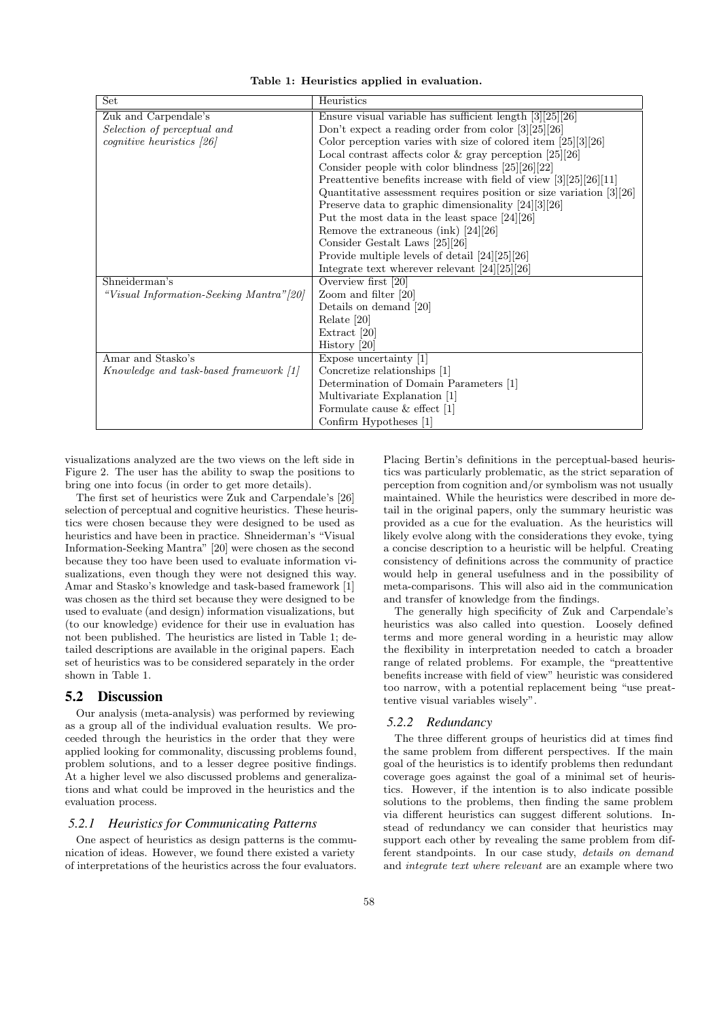| Set                                      | Heuristics                                                                   |
|------------------------------------------|------------------------------------------------------------------------------|
| Zuk and Carpendale's                     | Ensure visual variable has sufficient length $\boxed{3}\boxed{25}\boxed{26}$ |
| Selection of perceptual and              | Don't expect a reading order from color $[3][25][26]$                        |
| $cognitive \ heuristics \ [26]$          | Color perception varies with size of colored item $[25][3][26]$              |
|                                          | Local contrast affects color & gray perception $[25][26]$                    |
|                                          | Consider people with color blindness $[25][26][22]$                          |
|                                          | Preattentive benefits increase with field of view $\frac{3}{25}{26}{11}$     |
|                                          | Quantitative assessment requires position or size variation $[3][26]$        |
|                                          | Preserve data to graphic dimensionality $[24][3][26]$                        |
|                                          | Put the most data in the least space $[24][26]$                              |
|                                          | Remove the extraneous (ink) $[24][26]$                                       |
|                                          | Consider Gestalt Laws [25][26]                                               |
|                                          | Provide multiple levels of detail $[24][25][26]$                             |
|                                          | Integrate text wherever relevant $[24][25][26]$                              |
| Shneiderman's                            | Overview first [20]                                                          |
| "Visual Information-Seeking Mantra" [20] | Zoom and filter $[20]$                                                       |
|                                          | Details on demand [20]                                                       |
|                                          | Relate [20]                                                                  |
|                                          | Extract [20]                                                                 |
|                                          | History $[20]$                                                               |
| Amar and Stasko's                        | Expose uncertainty $[1]$                                                     |
| Knowledge and task-based framework [1]   | Concretize relationships [1]                                                 |
|                                          | Determination of Domain Parameters [1]                                       |
|                                          | Multivariate Explanation [1]                                                 |
|                                          | Formulate cause $&$ effect [1]                                               |
|                                          | Confirm Hypotheses [1]                                                       |

<span id="page-3-0"></span>Table 1: Heuristics applied in evaluation.

visualizations analyzed are the two views on the left side in Figure [2.](#page-2-0) The user has the ability to swap the positions to bring one into focus (in order to get more details).

The first set of heuristics were Zuk and Carpendale's [\[26\]](#page-5-8) selection of perceptual and cognitive heuristics. These heuristics were chosen because they were designed to be used as heuristics and have been in practice. Shneiderman's "Visual Information-Seeking Mantra" [\[20\]](#page-5-9) were chosen as the second because they too have been used to evaluate information visualizations, even though they were not designed this way. Amar and Stasko's knowledge and task-based framework [\[1\]](#page-5-7) was chosen as the third set because they were designed to be used to evaluate (and design) information visualizations, but (to our knowledge) evidence for their use in evaluation has not been published. The heuristics are listed in Table [1;](#page-3-0) detailed descriptions are available in the original papers. Each set of heuristics was to be considered separately in the order shown in Table [1.](#page-3-0)

## 5.2 Discussion

Our analysis (meta-analysis) was performed by reviewing as a group all of the individual evaluation results. We proceeded through the heuristics in the order that they were applied looking for commonality, discussing problems found, problem solutions, and to a lesser degree positive findings. At a higher level we also discussed problems and generalizations and what could be improved in the heuristics and the evaluation process.

### *5.2.1 Heuristics for Communicating Patterns*

One aspect of heuristics as design patterns is the communication of ideas. However, we found there existed a variety of interpretations of the heuristics across the four evaluators. Placing Bertin's definitions in the perceptual-based heuristics was particularly problematic, as the strict separation of perception from cognition and/or symbolism was not usually maintained. While the heuristics were described in more detail in the original papers, only the summary heuristic was provided as a cue for the evaluation. As the heuristics will likely evolve along with the considerations they evoke, tying a concise description to a heuristic will be helpful. Creating consistency of definitions across the community of practice would help in general usefulness and in the possibility of meta-comparisons. This will also aid in the communication and transfer of knowledge from the findings.

The generally high specificity of Zuk and Carpendale's heuristics was also called into question. Loosely defined terms and more general wording in a heuristic may allow the flexibility in interpretation needed to catch a broader range of related problems. For example, the "preattentive benefits increase with field of view" heuristic was considered too narrow, with a potential replacement being "use preattentive visual variables wisely".

#### *5.2.2 Redundancy*

The three different groups of heuristics did at times find the same problem from different perspectives. If the main goal of the heuristics is to identify problems then redundant coverage goes against the goal of a minimal set of heuristics. However, if the intention is to also indicate possible solutions to the problems, then finding the same problem via different heuristics can suggest different solutions. Instead of redundancy we can consider that heuristics may support each other by revealing the same problem from different standpoints. In our case study, details on demand and integrate text where relevant are an example where two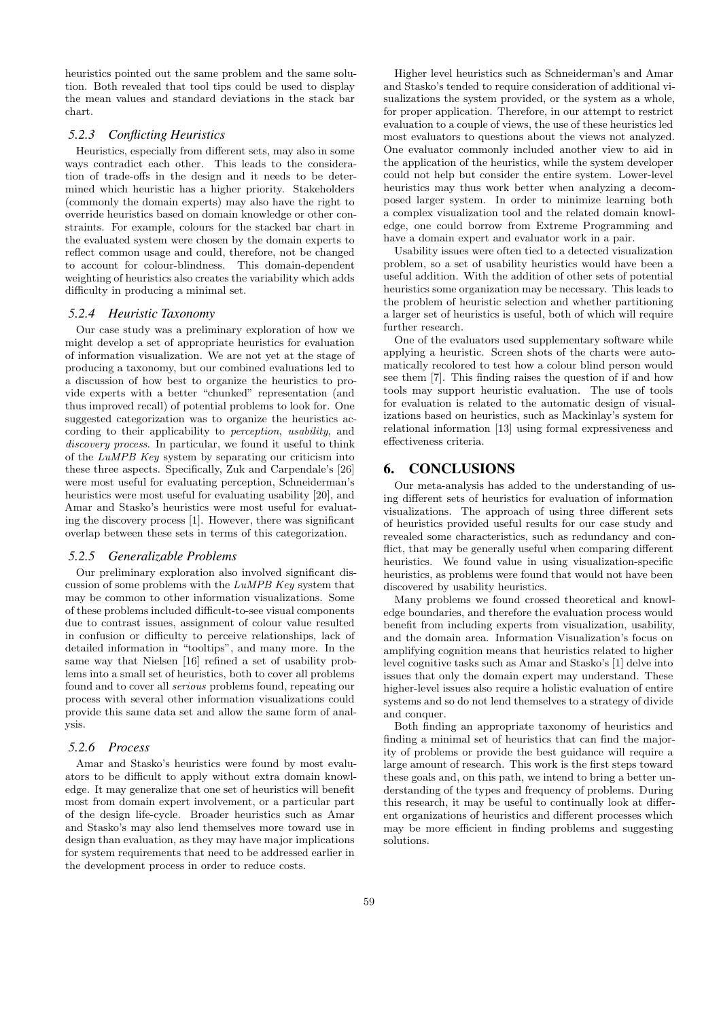heuristics pointed out the same problem and the same solution. Both revealed that tool tips could be used to display the mean values and standard deviations in the stack bar chart.

#### *5.2.3 Conflicting Heuristics*

Heuristics, especially from different sets, may also in some ways contradict each other. This leads to the consideration of trade-offs in the design and it needs to be determined which heuristic has a higher priority. Stakeholders (commonly the domain experts) may also have the right to override heuristics based on domain knowledge or other constraints. For example, colours for the stacked bar chart in the evaluated system were chosen by the domain experts to reflect common usage and could, therefore, not be changed to account for colour-blindness. This domain-dependent weighting of heuristics also creates the variability which adds difficulty in producing a minimal set.

#### *5.2.4 Heuristic Taxonomy*

Our case study was a preliminary exploration of how we might develop a set of appropriate heuristics for evaluation of information visualization. We are not yet at the stage of producing a taxonomy, but our combined evaluations led to a discussion of how best to organize the heuristics to provide experts with a better "chunked" representation (and thus improved recall) of potential problems to look for. One suggested categorization was to organize the heuristics according to their applicability to perception, usability, and discovery process. In particular, we found it useful to think of the LuMPB Key system by separating our criticism into these three aspects. Specifically, Zuk and Carpendale's [\[26\]](#page-5-8) were most useful for evaluating perception, Schneiderman's heuristics were most useful for evaluating usability [\[20\]](#page-5-9), and Amar and Stasko's heuristics were most useful for evaluating the discovery process [\[1\]](#page-5-7). However, there was significant overlap between these sets in terms of this categorization.

#### *5.2.5 Generalizable Problems*

Our preliminary exploration also involved significant discussion of some problems with the LuMPB Key system that may be common to other information visualizations. Some of these problems included difficult-to-see visual components due to contrast issues, assignment of colour value resulted in confusion or difficulty to perceive relationships, lack of detailed information in "tooltips", and many more. In the same way that Nielsen [\[16\]](#page-5-17) refined a set of usability problems into a small set of heuristics, both to cover all problems found and to cover all serious problems found, repeating our process with several other information visualizations could provide this same data set and allow the same form of analysis.

#### *5.2.6 Process*

Amar and Stasko's heuristics were found by most evaluators to be difficult to apply without extra domain knowledge. It may generalize that one set of heuristics will benefit most from domain expert involvement, or a particular part of the design life-cycle. Broader heuristics such as Amar and Stasko's may also lend themselves more toward use in design than evaluation, as they may have major implications for system requirements that need to be addressed earlier in the development process in order to reduce costs.

Higher level heuristics such as Schneiderman's and Amar and Stasko's tended to require consideration of additional visualizations the system provided, or the system as a whole, for proper application. Therefore, in our attempt to restrict evaluation to a couple of views, the use of these heuristics led most evaluators to questions about the views not analyzed. One evaluator commonly included another view to aid in the application of the heuristics, while the system developer could not help but consider the entire system. Lower-level heuristics may thus work better when analyzing a decomposed larger system. In order to minimize learning both a complex visualization tool and the related domain knowledge, one could borrow from Extreme Programming and have a domain expert and evaluator work in a pair.

Usability issues were often tied to a detected visualization problem, so a set of usability heuristics would have been a useful addition. With the addition of other sets of potential heuristics some organization may be necessary. This leads to the problem of heuristic selection and whether partitioning a larger set of heuristics is useful, both of which will require further research.

One of the evaluators used supplementary software while applying a heuristic. Screen shots of the charts were automatically recolored to test how a colour blind person would see them [\[7\]](#page-5-24). This finding raises the question of if and how tools may support heuristic evaluation. The use of tools for evaluation is related to the automatic design of visualizations based on heuristics, such as Mackinlay's system for relational information [\[13\]](#page-5-25) using formal expressiveness and effectiveness criteria.

## 6. CONCLUSIONS

Our meta-analysis has added to the understanding of using different sets of heuristics for evaluation of information visualizations. The approach of using three different sets of heuristics provided useful results for our case study and revealed some characteristics, such as redundancy and conflict, that may be generally useful when comparing different heuristics. We found value in using visualization-specific heuristics, as problems were found that would not have been discovered by usability heuristics.

Many problems we found crossed theoretical and knowledge boundaries, and therefore the evaluation process would benefit from including experts from visualization, usability, and the domain area. Information Visualization's focus on amplifying cognition means that heuristics related to higher level cognitive tasks such as Amar and Stasko's [\[1\]](#page-5-7) delve into issues that only the domain expert may understand. These higher-level issues also require a holistic evaluation of entire systems and so do not lend themselves to a strategy of divide and conquer.

Both finding an appropriate taxonomy of heuristics and finding a minimal set of heuristics that can find the majority of problems or provide the best guidance will require a large amount of research. This work is the first steps toward these goals and, on this path, we intend to bring a better understanding of the types and frequency of problems. During this research, it may be useful to continually look at different organizations of heuristics and different processes which may be more efficient in finding problems and suggesting solutions.